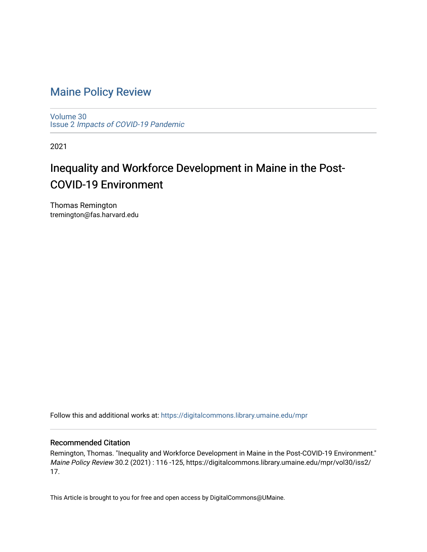### [Maine Policy Review](https://digitalcommons.library.umaine.edu/mpr)

[Volume 30](https://digitalcommons.library.umaine.edu/mpr/vol30) Issue 2 [Impacts of COVID-19 Pandemic](https://digitalcommons.library.umaine.edu/mpr/vol30/iss2)

2021

## Inequality and Workforce Development in Maine in the Post-COVID-19 Environment

Thomas Remington tremington@fas.harvard.edu

Follow this and additional works at: [https://digitalcommons.library.umaine.edu/mpr](https://digitalcommons.library.umaine.edu/mpr?utm_source=digitalcommons.library.umaine.edu%2Fmpr%2Fvol30%2Fiss2%2F17&utm_medium=PDF&utm_campaign=PDFCoverPages)

#### Recommended Citation

Remington, Thomas. "Inequality and Workforce Development in Maine in the Post-COVID-19 Environment." Maine Policy Review 30.2 (2021) : 116 -125, https://digitalcommons.library.umaine.edu/mpr/vol30/iss2/ 17.

This Article is brought to you for free and open access by DigitalCommons@UMaine.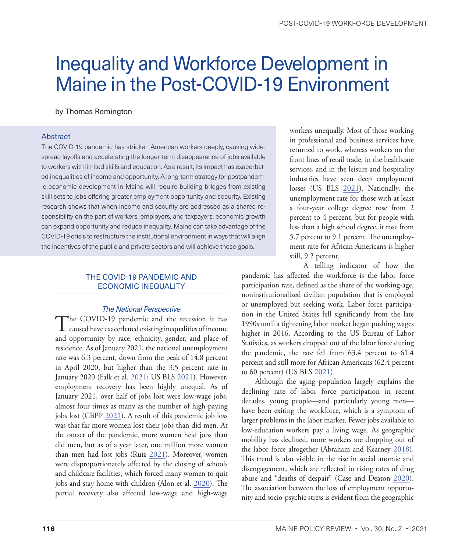# Inequality and Workforce Development in Maine in the Post-COVID-19 Environment

by Thomas Remington

#### Abstract

The COVID-19 pandemic has stricken American workers deeply, causing widespread layoffs and accelerating the longer-term disappearance of jobs available to workers with limited skills and education. As a result, its impact has exacerbated inequalities of income and opportunity. A long-term strategy for postpandemic economic development in Maine will require building bridges from existing skill sets to jobs offering greater employment opportunity and security. Existing research shows that when income and security are addressed as a shared responsibility on the part of workers, employers, and taxpayers, economic growth can expand opportunity and reduce inequality. Maine can take advantage of the COVID-19 crisis to restructure the institutional environment in ways that will align the incentives of the public and private sectors and will achieve these goals.

#### THE COVID-19 PANDEMIC AND ECONOMIC INEQUALITY

#### *The National Perspective*

The COVID-19 pandemic and the recession it has caused have exacerbated existing inequalities of income and opportunity by race, ethnicity, gender, and place of residence. As of January 2021, the national unemployment rate was 6.3 percent, down from the peak of 14.8 percent in April 2020, but higher than the 3.5 percent rate in January 2020 (Falk et al. [2021;](#page-9-0) US BLS [2021](#page-10-0)). However, employment recovery has been highly unequal. As of January 2021, over half of jobs lost were low-wage jobs, almost four times as many as the number of high-paying jobs lost (CBPP [2021](#page-9-1)). A result of this pandemic job loss was that far more women lost their jobs than did men. At the outset of the pandemic, more women held jobs than did men, but as of a year later, one million more women than men had lost jobs (Ruiz [2021\)](#page-10-1). Moreover, women were disproportionately affected by the closing of schools and childcare facilities, which forced many women to quit jobs and stay home with children (Alon et al. [2020\)](#page-9-2). The partial recovery also affected low-wage and high-wage

workers unequally. Most of those working in professional and business services have returned to work, whereas workers on the front lines of retail trade, in the healthcare services, and in the leisure and hospitality industries have seen deep employment losses (US BLS [2021\)](#page-10-0). Nationally, the unemployment rate for those with at least a four-year college degree rose from 2 percent to 4 percent, but for people with less than a high school degree, it rose from 5.7 percent to 9.1 percent. The unemployment rate for African Americans is higher still, 9.2 percent.

A telling indicator of how the pandemic has affected the workforce is the labor force participation rate, defined as the share of the working-age, noninstitutionalized civilian population that is employed or unemployed but seeking work. Labor force participation in the United States fell significantly from the late 1990s until a tightening labor market began pushing wages higher in 2016. According to the US Bureau of Labor Statistics, as workers dropped out of the labor force during the pandemic, the rate fell from 63.4 percent to 61.4 percent and still more for African Americans (62.4 percent to 60 percent) (US BLS [2021](#page-10-0)).

Although the aging population largely explains the declining rate of labor force participation in recent decades, young people—and particularly young men have been exiting the workforce, which is a symptom of larger problems in the labor market. Fewer jobs available to low-education workers pay a living wage. As geographic mobility has declined, more workers are dropping out of the labor force altogether (Abraham and Kearney [2018](#page-9-3)). This trend is also visible in the rise in social anomie and disengagement, which are reflected in rising rates of drug abuse and "deaths of despair" (Case and Deaton [2020](#page-9-4)). The association between the loss of employment opportunity and socio-psychic stress is evident from the geographic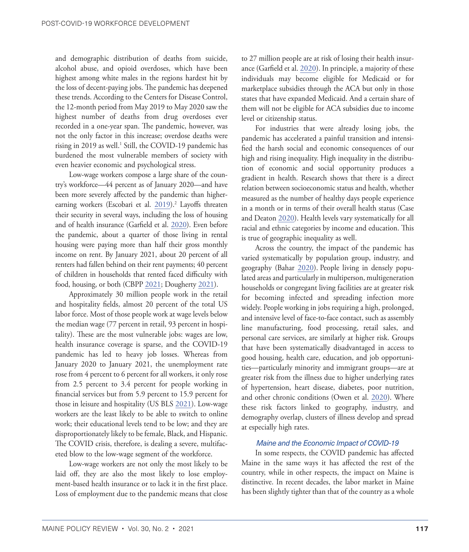<span id="page-2-0"></span>and demographic distribution of deaths from suicide, alcohol abuse, and opioid overdoses, which have been highest among white males in the regions hardest hit by the loss of decent-paying jobs. The pandemic has deepened these trends. According to the Centers for Disease Control, the 12-month period from May 2019 to May 2020 saw the highest number of deaths from drug overdoses ever recorded in a one-year span. The pandemic, however, was not the only factor in this increase; overdose deaths were rising in 2019 as well.<sup>1</sup> Still, the COVID-19 pandemic has burdened the most vulnerable members of society with even heavier economic and psychological stress.

Low-wage workers compose a large share of the country's workforce—44 percent as of January 2020—and have been more severely affected by the pandemic than higher-earning workers (Escobari et al. [2019](#page-9-5)).<sup>[2](#page-8-0)</sup> Layoffs threaten their security in several ways, including the loss of housing and of health insurance (Garfield et al. [2020\)](#page-9-6). Even before the pandemic, about a quarter of those living in rental housing were paying more than half their gross monthly income on rent. By January 2021, about 20 percent of all renters had fallen behind on their rent payments; 40 percent of children in households that rented faced difficulty with food, housing, or both (CBPP [2021;](#page-9-1) Dougherty [2021](#page-9-7)).

Approximately 30 million people work in the retail and hospitality fields, almost 20 percent of the total US labor force. Most of those people work at wage levels below the median wage (77 percent in retail, 93 percent in hospitality). These are the most vulnerable jobs: wages are low, health insurance coverage is sparse, and the COVID-19 pandemic has led to heavy job losses. Whereas from January 2020 to January 2021, the unemployment rate rose from 4 percent to 6 percent for all workers, it only rose from 2.5 percent to 3.4 percent for people working in financial services but from 5.9 percent to 15.9 percent for those in leisure and hospitality (US BLS [2021\)](#page-10-0). Low-wage workers are the least likely to be able to switch to online work; their educational levels tend to be low; and they are disproportionately likely to be female, Black, and Hispanic. The COVID crisis, therefore, is dealing a severe, multifaceted blow to the low-wage segment of the workforce.

Low-wage workers are not only the most likely to be laid off, they are also the most likely to lose employment-based health insurance or to lack it in the first place. Loss of employment due to the pandemic means that close to 27 million people are at risk of losing their health insurance (Garfield et al. [2020](#page-9-6)). In principle, a majority of these individuals may become eligible for Medicaid or for marketplace subsidies through the ACA but only in those states that have expanded Medicaid. And a certain share of them will not be eligible for ACA subsidies due to income level or citizenship status.

For industries that were already losing jobs, the pandemic has accelerated a painful transition and intensified the harsh social and economic consequences of our high and rising inequality. High inequality in the distribution of economic and social opportunity produces a gradient in health. Research shows that there is a direct relation between socioeconomic status and health, whether measured as the number of healthy days people experience in a month or in terms of their overall health status (Case and Deaton [2020](#page-9-4)). Health levels vary systematically for all racial and ethnic categories by income and education. This is true of geographic inequality as well.

Across the country, the impact of the pandemic has varied systematically by population group, industry, and geography (Bahar [2020](#page-9-8)). People living in densely populated areas and particularly in multiperson, multigeneration households or congregant living facilities are at greater risk for becoming infected and spreading infection more widely. People working in jobs requiring a high, prolonged, and intensive level of face-to-face contact, such as assembly line manufacturing, food processing, retail sales, and personal care services, are similarly at higher risk. Groups that have been systematically disadvantaged in access to good housing, health care, education, and job opportunities—particularly minority and immigrant groups—are at greater risk from the illness due to higher underlying rates of hypertension, heart disease, diabetes, poor nutrition, and other chronic conditions (Owen et al. [2020](#page-10-2)). Where these risk factors linked to geography, industry, and demography overlap, clusters of illness develop and spread at especially high rates.

#### *Maine and the Economic Impact of COVID-19*

In some respects, the COVID pandemic has affected Maine in the same ways it has affected the rest of the country, while in other respects, the impact on Maine is distinctive. In recent decades, the labor market in Maine has been slightly tighter than that of the country as a whole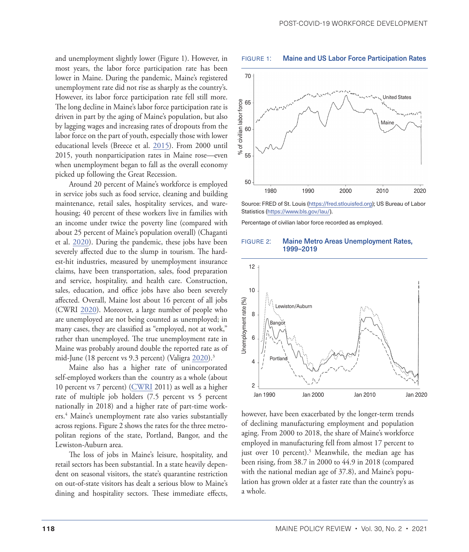<span id="page-3-0"></span>and unemployment slightly lower (Figure 1). However, in most years, the labor force participation rate has been lower in Maine. During the pandemic, Maine's registered unemployment rate did not rise as sharply as the country's. However, its labor force participation rate fell still more. The long decline in Maine's labor force participation rate is driven in part by the aging of Maine's population, but also by lagging wages and increasing rates of dropouts from the labor force on the part of youth, especially those with lower educational levels (Breece et al. [2015\)](#page-9-9). From 2000 until 2015, youth nonparticipation rates in Maine rose—even when unemployment began to fall as the overall economy picked up following the Great Recession.

Around 20 percent of Maine's workforce is employed in service jobs such as food service, cleaning and building maintenance, retail sales, hospitality services, and warehousing; 40 percent of these workers live in families with an income under twice the poverty line (compared with about 25 percent of Maine's population overall) (Chaganti et al. [2020\)](#page-9-10). During the pandemic, these jobs have been severely affected due to the slump in tourism. The hardest-hit industries, measured by unemployment insurance claims, have been transportation, sales, food preparation and service, hospitality, and health care. Construction, sales, education, and office jobs have also been severely affected. Overall, Maine lost about 16 percent of all jobs (CWRI [2020\)](#page-9-11). Moreover, a large number of people who are unemployed are not being counted as unemployed; in many cases, they are classified as "employed, not at work," rather than unemployed. The true unemployment rate in Maine was probably around double the reported rate as of mid-June (18 percent vs 9.3 percent) (Valigra [2020\)](#page-10-3).<sup>3</sup>

Maine also has a higher rate of unincorporated self-employed workers than the country as a whole (about 10 percent vs 7 percent) [\(CWRI](#page-9-12) 2011) as well as a higher rate of multiple job holders (7.5 percent vs 5 percent nationally in 2018) and a higher rate of part-time workers.[4](#page-8-0) Maine's unemployment rate also varies substantially across regions. Figure 2 shows the rates for the three metropolitan regions of the state, Portland, Bangor, and the Lewiston-Auburn area.

The loss of jobs in Maine's leisure, hospitality, and retail sectors has been substantial. In a state heavily dependent on seasonal visitors, the state's quarantine restriction on out-of-state visitors has dealt a serious blow to Maine's dining and hospitality sectors. These immediate effects,



FIGURE 1: Maine and US Labor Force Participation Rates

Percentage of civilian labor force recorded as employed.





however, have been exacerbated by the longer-term trends of declining manufacturing employment and population aging. From 2000 to 2018, the share of Maine's workforce employed in manufacturing fell from almost 17 percent to just over 10 percent).<sup>5</sup> Meanwhile, the median age has been rising, from 38.7 in 2000 to 44.9 in 2018 (compared with the national median age of 37.8), and Maine's population has grown older at a faster rate than the country's as a whole.

Source: FRED of St. Louis ([https://fred.stlouisfed.org\)](https://fred.stlouisfed.org); US Bureau of Labor Statistics [\(https://www.bls.gov/lau/](https://www.bls.gov/lau/)).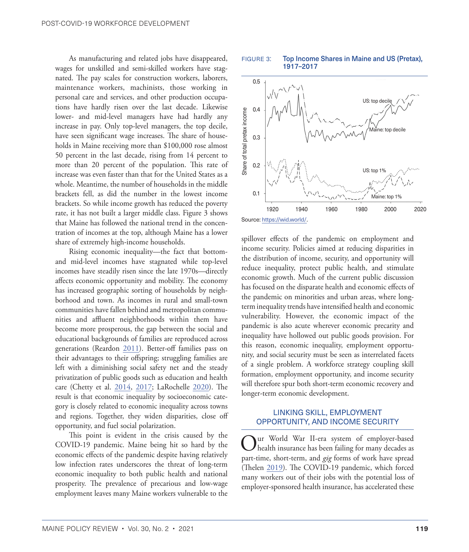As manufacturing and related jobs have disappeared, wages for unskilled and semi-skilled workers have stagnated. The pay scales for construction workers, laborers, maintenance workers, machinists, those working in personal care and services, and other production occupations have hardly risen over the last decade. Likewise lower- and mid-level managers have had hardly any increase in pay. Only top-level managers, the top decile, have seen significant wage increases. The share of households in Maine receiving more than \$100,000 rose almost 50 percent in the last decade, rising from 14 percent to more than 20 percent of the population. This rate of increase was even faster than that for the United States as a whole. Meantime, the number of households in the middle brackets fell, as did the number in the lowest income brackets. So while income growth has reduced the poverty rate, it has not built a larger middle class. Figure 3 shows that Maine has followed the national trend in the concentration of incomes at the top, although Maine has a lower share of extremely high-income households.

Rising economic inequality—the fact that bottomand mid-level incomes have stagnated while top-level incomes have steadily risen since the late 1970s—directly affects economic opportunity and mobility. The economy has increased geographic sorting of households by neighborhood and town. As incomes in rural and small-town communities have fallen behind and metropolitan communities and affluent neighborhoods within them have become more prosperous, the gap between the social and educational backgrounds of families are reproduced across generations (Reardon [2011\)](#page-10-4). Better-off families pass on their advantages to their offspring; struggling families are left with a diminishing social safety net and the steady privatization of public goods such as education and health care (Chetty et al. [2014](#page-9-13), [2017](#page-9-14); LaRochelle [2020\)](#page-10-5). The result is that economic inequality by socioeconomic category is closely related to economic inequality across towns and regions. Together, they widen disparities, close off opportunity, and fuel social polarization.

This point is evident in the crisis caused by the COVID-19 pandemic. Maine being hit so hard by the economic effects of the pandemic despite having relatively low infection rates underscores the threat of long-term economic inequality to both public health and national prosperity. The prevalence of precarious and low-wage employment leaves many Maine workers vulnerable to the

FIGURE 3: Top Income Shares in Maine and US (Pretax), 1917–2017



spillover effects of the pandemic on employment and income security. Policies aimed at reducing disparities in the distribution of income, security, and opportunity will reduce inequality, protect public health, and stimulate economic growth. Much of the current public discussion has focused on the disparate health and economic effects of the pandemic on minorities and urban areas, where longterm inequality trends have intensified health and economic vulnerability. However, the economic impact of the pandemic is also acute wherever economic precarity and inequality have hollowed out public goods provision. For this reason, economic inequality, employment opportunity, and social security must be seen as interrelated facets of a single problem. A workforce strategy coupling skill formation, employment opportunity, and income security will therefore spur both short-term economic recovery and longer-term economic development.

#### LINKING SKILL, EMPLOYMENT OPPORTUNITY, AND INCOME SECURITY

Our World War II-era system of employer-based health insurance has been failing for many decades as part-time, short-term, and *gig* forms of work have spread (Thelen [2019\)](#page-10-6). The COVID-19 pandemic, which forced many workers out of their jobs with the potential loss of employer-sponsored health insurance, has accelerated these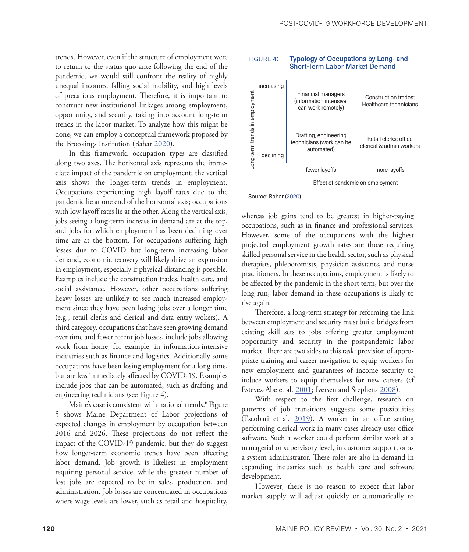<span id="page-5-0"></span>trends. However, even if the structure of employment were to return to the status quo ante following the end of the pandemic, we would still confront the reality of highly unequal incomes, falling social mobility, and high levels of precarious employment. Therefore, it is important to construct new institutional linkages among employment, opportunity, and security, taking into account long-term trends in the labor market. To analyze how this might be done, we can employ a conceptual framework proposed by the Brookings Institution (Bahar [2020](#page-9-8)).

In this framework, occupation types are classified along two axes. The horizontal axis represents the immediate impact of the pandemic on employment; the vertical axis shows the longer-term trends in employment. Occupations experiencing high layoff rates due to the pandemic lie at one end of the horizontal axis; occupations with low layoff rates lie at the other. Along the vertical axis, jobs seeing a long-term increase in demand are at the top, and jobs for which employment has been declining over time are at the bottom. For occupations suffering high losses due to COVID but long-term increasing labor demand, economic recovery will likely drive an expansion in employment, especially if physical distancing is possible. Examples include the construction trades, health care, and social assistance. However, other occupations suffering heavy losses are unlikely to see much increased employment since they have been losing jobs over a longer time (e.g., retail clerks and clerical and data entry wokers). A third category, occupations that have seen growing demand over time and fewer recent job losses, include jobs allowing work from home, for example, in information-intensive industries such as finance and logistics. Additionally some occupations have been losing employment for a long time, but are less immediately affected by COVID-19. Examples include jobs that can be automated, such as drafting and engineering technicians (see Figure 4).

Maine's case is consistent with national trends[.6](#page-8-0) Figure 5 shows Maine Department of Labor projections of expected changes in employment by occupation between 2016 and 2026. These projections do not reflect the impact of the COVID-19 pandemic, but they do suggest how longer-term economic trends have been affecting labor demand. Job growth is likeliest in employment requiring personal service, while the greatest number of lost jobs are expected to be in sales, production, and administration. Job losses are concentrated in occupations where wage levels are lower, such as retail and hospitality,

#### FIGURE 4: Typology of Occupations by Long- and Short-Term Labor Market Demand



Source: Bahar [\(2020\)](#page-9-8)

whereas job gains tend to be greatest in higher-paying occupations, such as in finance and professional services. However, some of the occupations with the highest projected employment growth rates are those requiring skilled personal service in the health sector, such as physical therapists, phlebotomists, physician assistants, and nurse practitioners. In these occupations, employment is likely to be affected by the pandemic in the short term, but over the long run, labor demand in these occupations is likely to rise again.

Therefore, a long-term strategy for reforming the link between employment and security must build bridges from existing skill sets to jobs offering greater employment opportunity and security in the postpandemic labor market. There are two sides to this task: provision of appropriate training and career navigation to equip workers for new employment and guarantees of income security to induce workers to equip themselves for new careers (cf Estevez-Abe et al. [2001;](#page-9-15) Iversen and Stephens [2008\)](#page-10-7).

With respect to the first challenge, research on patterns of job transitions suggests some possibilities (Escobari et al. [2019\)](#page-9-5). A worker in an office setting performing clerical work in many cases already uses office software. Such a worker could perform similar work at a managerial or supervisory level, in customer support, or as a system administrator. These roles are also in demand in expanding industries such as health care and software development.

However, there is no reason to expect that labor market supply will adjust quickly or automatically to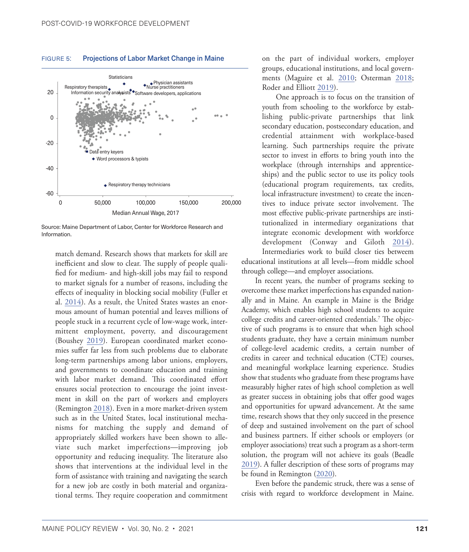

#### <span id="page-6-0"></span>FIGURE 5: Projections of Labor Market Change in Maine

Source: Maine Department of Labor, Center for Workforce Research and Information.

match demand. Research shows that markets for skill are inefficient and slow to clear. The supply of people qualified for medium- and high-skill jobs may fail to respond to market signals for a number of reasons, including the effects of inequality in blocking social mobility (Fuller et al. [2014\)](#page-9-16). As a result, the United States wastes an enormous amount of human potential and leaves millions of people stuck in a recurrent cycle of low-wage work, intermittent employment, poverty, and discouragement (Boushey [2019](#page-9-17)). European coordinated market economies suffer far less from such problems due to elaborate long-term partnerships among labor unions, employers, and governments to coordinate education and training with labor market demand. This coordinated effort ensures social protection to encourage the joint investment in skill on the part of workers and employers (Remington [2018](#page-10-8)). Even in a more market-driven system such as in the United States, local institutional mechanisms for matching the supply and demand of appropriately skilled workers have been shown to alleviate such market imperfections—improving job opportunity and reducing inequality. The literature also shows that interventions at the individual level in the form of assistance with training and navigating the search for a new job are costly in both material and organizational terms. They require cooperation and commitment

on the part of individual workers, employer groups, educational institutions, and local governments (Maguire et al. [2010;](#page-10-9) Osterman [2018;](#page-10-10) Roder and Elliott [2019](#page-10-11)).

One approach is to focus on the transition of youth from schooling to the workforce by establishing public-private partnerships that link secondary education, postsecondary education, and credential attainment with workplace-based learning. Such partnerships require the private sector to invest in efforts to bring youth into the workplace (through internships and apprenticeships) and the public sector to use its policy tools (educational program requirements, tax credits, local infrastructure investment) to create the incentives to induce private sector involvement. The most effective public-private partnerships are institutionalized in intermediary organizations that integrate economic development with workforce development (Conway and Giloth [2014](#page-9-18)). Intermediaries work to build closer ties betweem

educational institutions at all levels—from middle school through college—and employer associations.

In recent years, the number of programs seeking to overcome these market imperfections has expanded nationally and in Maine. An example in Maine is the Bridge Academy, which enables high school students to acquire college credits and career-oriented credentials[.7](#page-8-0) The objective of such programs is to ensure that when high school students graduate, they have a certain minimum number of college-level academic credits, a certain number of credits in career and technical education (CTE) courses, and meaningful workplace learning experience. Studies show that students who graduate from these programs have measurably higher rates of high school completion as well as greater success in obtaining jobs that offer good wages and opportunities for upward advancement. At the same time, research shows that they only succeed in the presence of deep and sustained involvement on the part of school and business partners. If either schools or employers (or employer associations) treat such a program as a short-term solution, the program will not achieve its goals (Beadle [2019](#page-9-19)). A fuller description of these sorts of programs may be found in Remington ([2020\)](#page-10-12).

Even before the pandemic struck, there was a sense of crisis with regard to workforce development in Maine.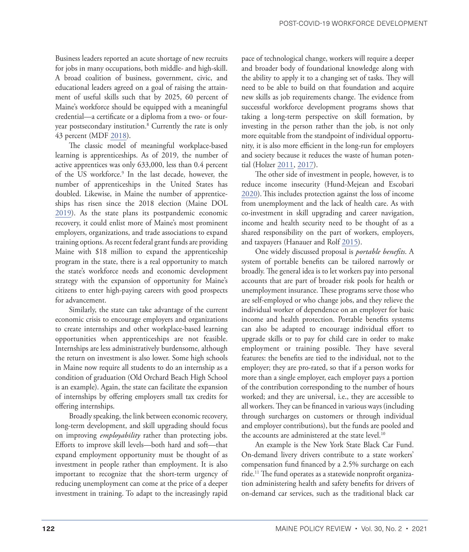<span id="page-7-0"></span>Business leaders reported an acute shortage of new recruits for jobs in many occupations, both middle- and high-skill. A broad coalition of business, government, civic, and educational leaders agreed on a goal of raising the attainment of useful skills such that by 2025, 60 percent of Maine's workforce should be equipped with a meaningful credential—a certificate or a diploma from a two- or fouryear postsecondary institution[.8](#page-8-0) Currently the rate is only 43 percent (MDF [2018](#page-10-13)).

The classic model of meaningful workplace-based learning is apprenticeships. As of 2019, the number of active apprentices was only 633,000, less than 0.4 percent of the US workforce.<sup>[9](#page-8-0)</sup> In the last decade, however, the number of apprenticeships in the United States has doubled. Likewise, in Maine the number of apprenticeships has risen since the 2018 election (Maine DOL [2019](#page-10-14)). As the state plans its postpandemic economic recovery, it could enlist more of Maine's most prominent employers, organizations, and trade associations to expand training options. As recent federal grant funds are providing Maine with \$18 million to expand the apprenticeship program in the state, there is a real opportunity to match the state's workforce needs and economic development strategy with the expansion of opportunity for Maine's citizens to enter high-paying careers with good prospects for advancement.

Similarly, the state can take advantage of the current economic crisis to encourage employers and organizations to create internships and other workplace-based learning opportunities when apprenticeships are not feasible. Internships are less administratively burdensome, although the return on investment is also lower. Some high schools in Maine now require all students to do an internship as a condition of graduation (Old Orchard Beach High School is an example). Again, the state can facilitate the expansion of internships by offering employers small tax credits for offering internships.

Broadly speaking, the link between economic recovery, long-term development, and skill upgrading should focus on improving *employability* rather than protecting jobs. Efforts to improve skill levels—both hard and soft—that expand employment opportunity must be thought of as investment in people rather than employment. It is also important to recognize that the short-term urgency of reducing unemployment can come at the price of a deeper investment in training. To adapt to the increasingly rapid

pace of technological change, workers will require a deeper and broader body of foundational knowledge along with the ability to apply it to a changing set of tasks. They will need to be able to build on that foundation and acquire new skills as job requirements change. The evidence from successful workforce development programs shows that taking a long-term perspective on skill formation, by investing in the person rather than the job, is not only more equitable from the standpoint of individual opportunity, it is also more efficient in the long-run for employers and society because it reduces the waste of human poten-tial (Holzer [2011,](#page-9-20) [2017](#page-10-15)).

The other side of investment in people, however, is to reduce income insecurity (Hund-Mejean and Escobari [2020](#page-10-16)).This includes protection against the loss of income from unemployment and the lack of health care. As with co-investment in skill upgrading and career navigation, income and health security need to be thought of as a shared responsibility on the part of workers, employers, and taxpayers (Hanauer and Rolf [2015](#page-9-21)).

One widely discussed proposal is *portable benefits*. A system of portable benefits can be tailored narrowly or broadly. The general idea is to let workers pay into personal accounts that are part of broader risk pools for health or unemployment insurance. These programs serve those who are self-employed or who change jobs, and they relieve the individual worker of dependence on an employer for basic income and health protection. Portable benefits systems can also be adapted to encourage individual effort to upgrade skills or to pay for child care in order to make employment or training possible. They have several features: the benefits are tied to the individual, not to the employer; they are pro-rated, so that if a person works for more than a single employer, each employer pays a portion of the contribution corresponding to the number of hours worked; and they are universal, i.e., they are accessible to all workers. They can be financed in various ways (including through surcharges on customers or through individual and employer contributions), but the funds are pooled and the accounts are administered at the state level.<sup>[10](#page-9-22)</sup>

An example is the New York State Black Car Fund. On-demand livery drivers contribute to a state workers' compensation fund financed by a 2.5% surcharge on each ride.<sup>11</sup> The fund operates as a statewide nonprofit organization administering health and safety benefits for drivers of on-demand car services, such as the traditional black car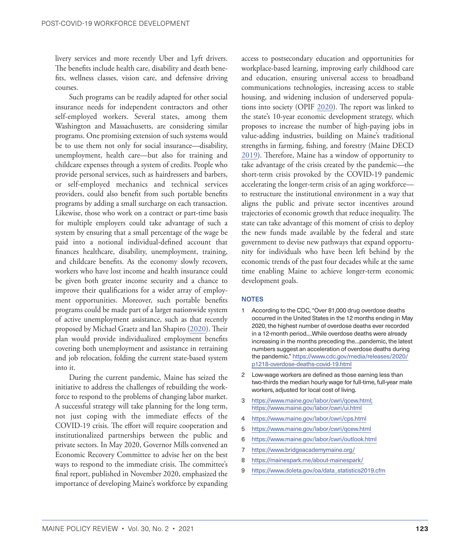<span id="page-8-0"></span>livery services and more recently Uber and Lyft drivers. The benefits include health care, disability and death benefits, wellness classes, vision care, and defensive driving courses.

Such programs can be readily adapted for other social insurance needs for independent contractors and other self-employed workers. Several states, among them Washington and Massachusetts, are considering similar programs. One promising extension of such systems would be to use them not only for social insurance—disability, unemployment, health care—but also for training and childcare expenses through a system of credits. People who provide personal services, such as hairdressers and barbers, or self-employed mechanics and technical services providers, could also benefit from such portable benefits programs by adding a small surcharge on each transaction. Likewise, those who work on a contract or part-time basis for multiple employers could take advantage of such a system by ensuring that a small percentage of the wage be paid into a notional individual-defined account that finances healthcare, disability, unemployment, training, and childcare benefits. As the economy slowly recovers, workers who have lost income and health insurance could be given both greater income security and a chance to improve their qualifications for a wider array of employment opportunities. Moreover, such portable benefits programs could be made part of a larger nationwide system of active unemployment assistance, such as that recently proposed by Michael Graetz and Ian Shapiro ([2020\)](#page-9-23). Their plan would provide individualized employment benefits covering both unemployment and assistance in retraining and job relocation, folding the current state-based system into it.

During the current pandemic, Maine has seized the initiative to address the challenges of rebuilding the workforce to respond to the problems of changing labor market. A successful strategy will take planning for the long term, not just coping with the immediate effects of the COVID-19 crisis. The effort will require cooperation and institutionalized partnerships between the public and private sectors. In May 2020, Governor Mills convened an Economic Recovery Committee to advise her on the best ways to respond to the immediate crisis. The committee's final report, published in November 2020, emphasized the importance of developing Maine's workforce by expanding access to postsecondary education and opportunities for workplace-based learning, improving early childhood care and education, ensuring universal access to broadband communications technologies, increasing access to stable housing, and widening inclusion of underserved populations into society (OPIF [2020\)](#page-10-17). The report was linked to the state's 10-year economic development strategy, which proposes to increase the number of high-paying jobs in value-adding industries, building on Maine's traditional strengths in farming, fishing, and forestry (Maine DECD [2019](#page-10-18)). Therefore, Maine has a window of opportunity to take advantage of the crisis created by the pandemic—the short-term crisis provoked by the COVID-19 pandemic accelerating the longer-term crisis of an aging workforce to restructure the institutional environment in a way that aligns the public and private sector incentives around trajectories of economic growth that reduce inequality. The state can take advantage of this moment of crisis to deploy the new funds made available by the federal and state government to devise new pathways that expand opportunity for individuals who have been left behind by the economic trends of the past four decades while at the same time enabling Maine to achieve longer-term economic development goals.

#### NOTES

- [1](#page-2-0) According to the CDC, "Over 81,000 drug overdose deaths occurred in the United States in the 12 months ending in May 2020, the highest number of overdose deaths ever recorded in a 12-month period.…While overdose deaths were already increasing in the months preceding the…pandemic, the latest numbers suggest an acceleration of overdose deaths during the pandemic." https://www.cdc.gov/media/releases/2020/ p1218-overdose-deaths-covid-19.html
- [2](#page-2-0) Low-wage workers are defined as those earning less than two-thirds the median hourly wage for full-time, full-year male workers, adjusted for local cost of living.
- [3](#page-3-0) <https://www.maine.gov/labor/cwri/qcew.html>; <https://www.maine.gov/labor/cwri/ui.html>
- [4](#page-3-0) https://www.maine.gov/labor/cwri/cps.html
- [5](#page-3-0) <https://www.maine.gov/labor/cwri/qcew.html>
- [6](#page-5-0) <https://www.maine.gov/labor/cwri/outlook.html>
- [7](#page-6-0) <https://www.bridgeacademymaine.org/>
- [8](#page-7-0) <https://mainespark.me/about-mainespark/>
- [9](#page-7-0) [https://www.doleta.gov/oa/data\\_statistics2019.cfm](https://www.doleta.gov/oa/data_statistics2019.cfm)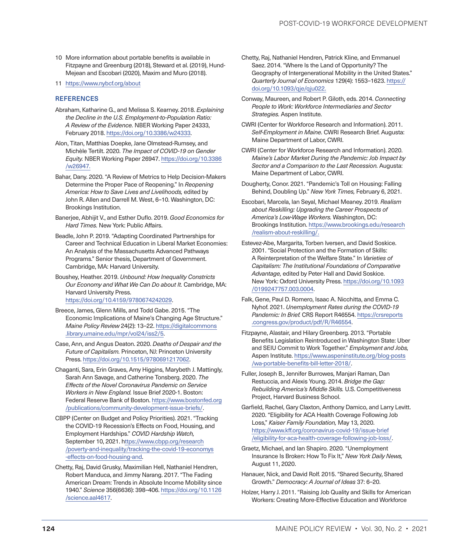- <span id="page-9-22"></span>[10](#page-7-0) More information about portable benefits is available in Fitzpayne and Greenburg (2018), Steward et al. (2019), Hund-Mejean and Escobari (2020), Maxim and Muro (2018).
- [11](#page-7-0) <https://www.nybcf.org/about>

#### **REFERENCES**

- <span id="page-9-3"></span>Abraham, Katharine G., and Melissa S. Kearney. 2018. *Explaining the Decline in the U.S. Employment-to-Population Ratio: A Review of the Evidence.* NBER Working Paper 24333, February 2018. [https://doi.org/10.3386/w24333.](https://doi.org/10.3386/w24333)
- <span id="page-9-2"></span>Alon, Titan, Matthias Doepke, Jane Olmstead-Rumsey, and Michèle Tertilt. 2020. *The Impact of COVID-19 on Gender Equity.* NBER Working Paper 26947. [https://doi.org/10.3386](https://doi.org/10.3386/w26947) [/w26947](https://doi.org/10.3386/w26947).
- <span id="page-9-8"></span>Bahar, Dany. 2020. "A Review of Metrics to Help Decision-Makers Determine the Proper Pace of Reopening." In *Reopening America: How to Save Lives and Livelihoods,* edited by John R. Allen and Darrell M. West, 6–10. Washington, DC: Brookings Institution.
- Banerjee, Abhijit V., and Esther Duflo. 2019. *Good Economics for Hard Times.* New York: Public Affairs.
- <span id="page-9-19"></span>Beadle, John P. 2019. "Adapting Coordinated Partnerships for Career and Technical Education in Liberal Market Economies: An Analysis of the Massachusetts Advanced Pathways Programs." Senior thesis, Department of Government. Cambridge, MA: Harvard University.
- <span id="page-9-17"></span>Boushey, Heather. 2019. *Unbound: How Inequality Constricts Our Economy and What We Can Do about It.* Cambridge, MA: Harvard University Press. <https://doi.org/10.4159/9780674242029>.
- <span id="page-9-9"></span>Breece, James, Glenn Mills, and Todd Gabe. 2015. "The Economic Implications of Maine's Changing Age Structure." *Maine Policy Review* 24(2): 13–22. https://digitalcommons .library.umaine.edu/mpr/vol24/iss2/5.
- <span id="page-9-4"></span>Case, Ann, and Angus Deaton. 2020. *Deaths of Despair and the Future of Capitalism.* Princeton, NJ: Princeton University Press.<https://doi.org/10.1515/9780691217062>.
- <span id="page-9-10"></span>Chaganti, Sara, Erin Graves, Amy Higgins, Marybeth J. Mattingly, Sarah Ann Savage, and Catherine Tonsberg. 2020. *The Effects of the Novel Coronavirus Pandemic on Service Workers in New England.* Issue Brief 2020-1. Boston: Federal Reserve Bank of Boston. https://www.bostonfed.org /publications/community-development-issue-briefs/.
- <span id="page-9-1"></span>CBPP (Center on Budget and Policy Priorities). 2021. "Tracking the COVID-19 Recession's Effects on Food, Housing, and Employment Hardships." *COVID Hardship Watch,*  September 10, 2021. [https://www.cbpp.org/research](https://www.cbpp.org/research/poverty-and-inequality/tracking-the-covid-19-economys-effects-on-food-housing-and) [/poverty-and-inequality/tracking-the-covid-19-economys](https://www.cbpp.org/research/poverty-and-inequality/tracking-the-covid-19-economys-effects-on-food-housing-and) [-effects-on-food-housing-and](https://www.cbpp.org/research/poverty-and-inequality/tracking-the-covid-19-economys-effects-on-food-housing-and).
- <span id="page-9-14"></span>Chetty, Raj, David Grusky, Maximilian Hell, Nathaniel Hendren, Robert Manduca, and Jimmy Narang. 2017. "The Fading American Dream: Trends in Absolute Income Mobility since 1940." *Science* 356(6636): 398–406. [https://doi.org/10.1126](https://doi.org/10.1126/science.aal4617) [/science.aal4617](https://doi.org/10.1126/science.aal4617).
- <span id="page-9-13"></span>Chetty, Raj, Nathaniel Hendren, Patrick Kline, and Emmanuel Saez. 2014. "Where Is the Land of Opportunity? The Geography of Intergenerational Mobility in the United States." *Quarterly Journal of Economics* 129(4): 1553–1623. [https://](https://doi.org/10.1093/qje/qju022) [doi.org/10.1093/qje/qju022.](https://doi.org/10.1093/qje/qju022)
- <span id="page-9-18"></span>Conway, Maureen, and Robert P. Giloth, eds. 2014. *Connecting People to Work: Workforce Intermediaries and Sector Strategies.* Aspen Institute.
- <span id="page-9-12"></span>CWRI (Center for Workforce Research and Information). 2011. *Self-Employment in Maine.* CWRI Research Brief. Augusta: Maine Department of Labor, CWRI.
- <span id="page-9-11"></span>CWRI (Center for Workforce Research and Information). 2020. *Maine's Labor Market During the Pandemic: Job Impact by Sector and a Comparison to the Last Recession.* Augusta: Maine Department of Labor, CWRI.
- <span id="page-9-7"></span>Dougherty, Conor. 2021. "Pandemic's Toll on Housing: Falling Behind, Doubling Up." *New York Times,* February 6, 2021.
- <span id="page-9-5"></span>Escobari, Marcela, Ian Seyal, Michael Meaney. 2019. *Realism about Reskilling: Upgrading the Career Prospects of America's Low-Wage Workers.* Washington, DC: Brookings Institution. https://www.brookings.edu/research /realism-about-reskilling/.
- <span id="page-9-15"></span>Estevez-Abe, Margarita, Torben Iversen, and David Soskice. 2001. "Social Protection and the Formation of Skills: A Reinterpretation of the Welfare State." In *Varieties of Capitalism: The Institutional Foundations of Comparative Advantage,* edited by Peter Hall and David Soskice. New York: Oxford University Press. [https://doi.org/10.1093](https://doi.org/10.1093/0199247757.003.0004) [/0199247757.003.0004](https://doi.org/10.1093/0199247757.003.0004).
- <span id="page-9-0"></span>Falk, Gene, Paul D. Romero, Isaac A. Nicchitta, and Emma C. Nyhof. 2021. *Unemployment Rates during the COVID-19 Pandemic: In Brief.* CRS Report R46554. [https://crsreports](https://crsreports.congress.gov/product/pdf/R/R46554) [.congress.gov/product/pdf/R/R46554.](https://crsreports.congress.gov/product/pdf/R/R46554)
- Fitzpayne, Alastair, and Hilary Greenberg. 2013. "Portable Benefits Legislation Reintroduced in Washington State: Uber and SEIU Commit to Work Together." *Employment and Jobs,*  Aspen Institute. https://www.aspeninstitute.org/blog-posts /wa-portable-benefits-bill-letter-2018/.
- <span id="page-9-16"></span>Fuller, Joseph B., Jennifer Burrowes, Manjari Raman, Dan Restuccia, and Alexis Young. 2014. *Bridge the Gap: Rebuilding America's Middle Skills.* U.S. Competitiveness Project, Harvard Business School.
- <span id="page-9-6"></span>Garfield, Rachel, Gary Claxton, Anthony Damico, and Larry Levitt. 2020. "Eligibility for ACA Health Coverage Following Job Loss," *Kaiser Family Foundation,* May 13, 2020. [https://www.kff.org/coronavirus-covid-19/issue-brief](https://www.kff.org/coronavirus-covid-19/issue-brief/eligibility-for-aca-health-coverage-following-j) [/eligibility-for-aca-health-coverage-following-job-loss/](https://www.kff.org/coronavirus-covid-19/issue-brief/eligibility-for-aca-health-coverage-following-j).
- <span id="page-9-23"></span>Graetz, Michael, and Ian Shapiro. 2020. "Unemployment Insurance Is Broken: How To Fix It," *New York Daily News,*  August 11, 2020.
- <span id="page-9-21"></span>Hanauer, Nick, and David Rolf. 2015. "Shared Security, Shared Growth." *Democracy: A Journal of Ideas* 37: 6–20.
- <span id="page-9-20"></span>Holzer, Harry J. 2011. "Raising Job Quality and Skills for American Workers: Creating More-Effective Education and Workforce